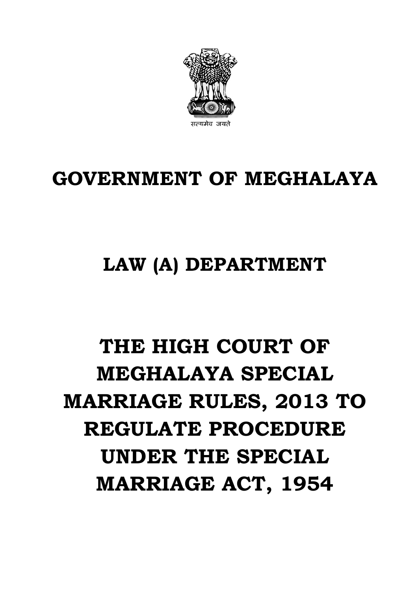

# **GOVERNMENT OF MEGHALAYA**

# **LAW (A) DEPARTMENT**

# **THE HIGH COURT OF MEGHALAYA SPECIAL MARRIAGE RULES, 2013 TO REGULATE PROCEDURE UNDER THE SPECIAL MARRIAGE ACT, 1954**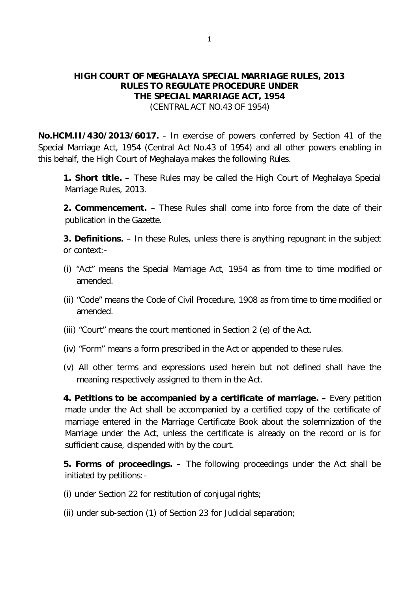### **HIGH COURT OF MEGHALAYA SPECIAL MARRIAGE RULES, 2013 RULES TO REGULATE PROCEDURE UNDER THE SPECIAL MARRIAGE ACT, 1954** (CENTRAL ACT NO.43 OF 1954)

**No.HCM.II/430/2013/6017.** - In exercise of powers conferred by Section 41 of the Special Marriage Act, 1954 (Central Act No.43 of 1954) and all other powers enabling in this behalf, the High Court of Meghalaya makes the following Rules.

**1. Short title. –** These Rules may be called the High Court of Meghalaya Special Marriage Rules, 2013.

**2. Commencement.** – These Rules shall come into force from the date of their publication in the Gazette.

**3. Definitions.** – In these Rules, unless there is anything repugnant in the subject or context:-

- (i) "Act" means the Special Marriage Act, 1954 as from time to time modified or amended.
- (ii) "Code" means the Code of Civil Procedure, 1908 as from time to time modified or amended.
- (iii) "Court" means the court mentioned in Section 2 (e) of the Act.
- (iv) "Form" means a form prescribed in the Act or appended to these rules.
- (v) All other terms and expressions used herein but not defined shall have the meaning respectively assigned to them in the Act.

**4. Petitions to be accompanied by a certificate of marriage. –** Every petition made under the Act shall be accompanied by a certified copy of the certificate of marriage entered in the Marriage Certificate Book about the solemnization of the Marriage under the Act, unless the certificate is already on the record or is for sufficient cause, dispended with by the court.

**5. Forms of proceedings. –** The following proceedings under the Act shall be initiated by petitions:-

- (i) under Section 22 for restitution of conjugal rights;
- (ii) under sub-section (1) of Section 23 for Judicial separation;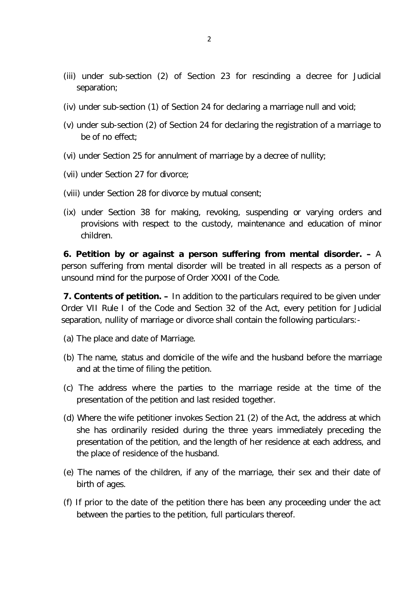- (iii) under sub-section (2) of Section 23 for rescinding a decree for Judicial separation;
- (iv) under sub-section (1) of Section 24 for declaring a marriage null and void;
- (v) under sub-section (2) of Section 24 for declaring the registration of a marriage to be of no effect;
- (vi) under Section 25 for annulment of marriage by a decree of nullity;
- (vii) under Section 27 for divorce;
- (viii) under Section 28 for divorce by mutual consent;
- (ix) under Section 38 for making, revoking, suspending or varying orders and provisions with respect to the custody, maintenance and education of minor children.

**6. Petition by or against a person suffering from mental disorder. –** A person suffering from mental disorder will be treated in all respects as a person of unsound mind for the purpose of Order XXXII of the Code.

**7. Contents of petition. –** In addition to the particulars required to be given under Order VII Rule I of the Code and Section 32 of the Act, every petition for Judicial separation, nullity of marriage or divorce shall contain the following particulars:-

- (a) The place and date of Marriage.
- (b) The name, status and domicile of the wife and the husband before the marriage and at the time of filing the petition.
- (c) The address where the parties to the marriage reside at the time of the presentation of the petition and last resided together.
- (d) Where the wife petitioner invokes Section 21 (2) of the Act, the address at which she has ordinarily resided during the three years immediately preceding the presentation of the petition, and the length of her residence at each address, and the place of residence of the husband.
- (e) The names of the children, if any of the marriage, their sex and their date of birth of ages.
- (f) If prior to the date of the petition there has been any proceeding under the act between the parties to the petition, full particulars thereof.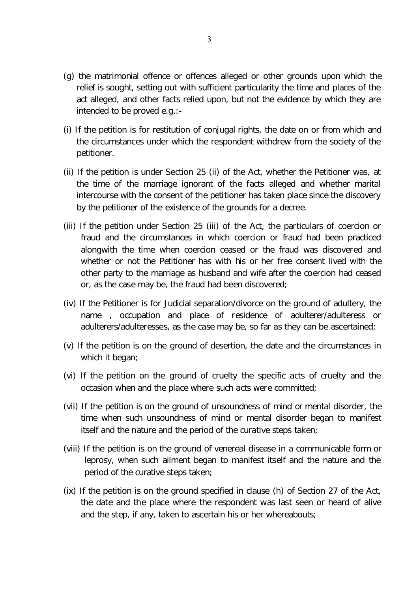- (g) the matrimonial offence or offences alleged or other grounds upon which the relief is sought, setting out with sufficient particularity the time and places of the act alleged, and other facts relied upon, but not the evidence by which they are intended to be proved e.g.:-
- (i) If the petition is for restitution of conjugal rights, the date on or from which and the circumstances under which the respondent withdrew from the society of the petitioner.
- (ii) If the petition is under Section 25 (ii) of the Act, whether the Petitioner was, at the time of the marriage ignorant of the facts alleged and whether marital intercourse with the consent of the petitioner has taken place since the discovery by the petitioner of the existence of the grounds for a decree.
- (iii) If the petition under Section 25 (iii) of the Act, the particulars of coercion or fraud and the circumstances in which coercion or fraud had been practiced alongwith the time when coercion ceased or the fraud was discovered and whether or not the Petitioner has with his or her free consent lived with the other party to the marriage as husband and wife after the coercion had ceased or, as the case may be, the fraud had been discovered;
- (iv) If the Petitioner is for Judicial separation/divorce on the ground of adultery, the name , occupation and place of residence of adulterer/adulteress or adulterers/adulteresses, as the case may be, so far as they can be ascertained;
- (v) If the petition is on the ground of desertion, the date and the circumstances in which it began;
- (vi) If the petition on the ground of cruelty the specific acts of cruelty and the occasion when and the place where such acts were committed;
- (vii) If the petition is on the ground of unsoundness of mind or mental disorder, the time when such unsoundness of mind or mental disorder began to manifest itself and the nature and the period of the curative steps taken;
- (viii) If the petition is on the ground of venereal disease in a communicable form or leprosy, when such ailment began to manifest itself and the nature and the period of the curative steps taken;
- (ix) If the petition is on the ground specified in clause (h) of Section 27 of the Act, the date and the place where the respondent was last seen or heard of alive and the step, if any, taken to ascertain his or her whereabouts;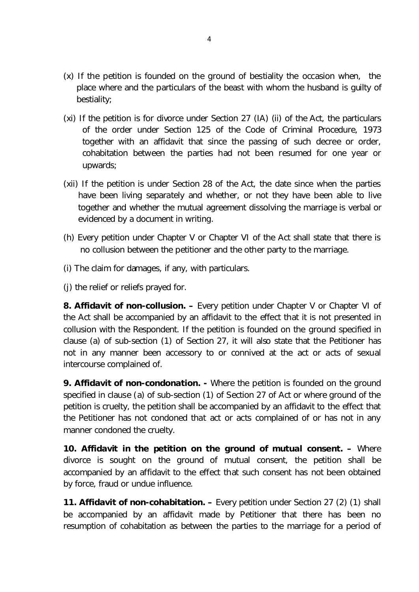- (x) If the petition is founded on the ground of bestiality the occasion when, the place where and the particulars of the beast with whom the husband is guilty of bestiality;
- (xi) If the petition is for divorce under Section 27 (IA) (ii) of the Act, the particulars of the order under Section 125 of the Code of Criminal Procedure, 1973 together with an affidavit that since the passing of such decree or order, cohabitation between the parties had not been resumed for one year or upwards;
- (xii) If the petition is under Section 28 of the Act, the date since when the parties have been living separately and whether, or not they have been able to live together and whether the mutual agreement dissolving the marriage is verbal or evidenced by a document in writing.
- (h) Every petition under Chapter V or Chapter VI of the Act shall state that there is no collusion between the petitioner and the other party to the marriage.
- (i) The claim for damages, if any, with particulars.
- (j) the relief or reliefs prayed for.

**8. Affidavit of non-collusion.** – Every petition under Chapter V or Chapter VI of the Act shall be accompanied by an affidavit to the effect that it is not presented in collusion with the Respondent. If the petition is founded on the ground specified in clause (a) of sub-section (1) of Section 27, it will also state that the Petitioner has not in any manner been accessory to or connived at the act or acts of sexual intercourse complained of.

**9. Affidavit of non-condonation. -** Where the petition is founded on the ground specified in clause (a) of sub-section (1) of Section 27 of Act or where ground of the petition is cruelty, the petition shall be accompanied by an affidavit to the effect that the Petitioner has not condoned that act or acts complained of or has not in any manner condoned the cruelty.

**10. Affidavit in the petition on the ground of mutual consent. –** Where divorce is sought on the ground of mutual consent, the petition shall be accompanied by an affidavit to the effect that such consent has not been obtained by force, fraud or undue influence.

**11. Affidavit of non-cohabitation. –** Every petition under Section 27 (2) (1) shall be accompanied by an affidavit made by Petitioner that there has been no resumption of cohabitation as between the parties to the marriage for a period of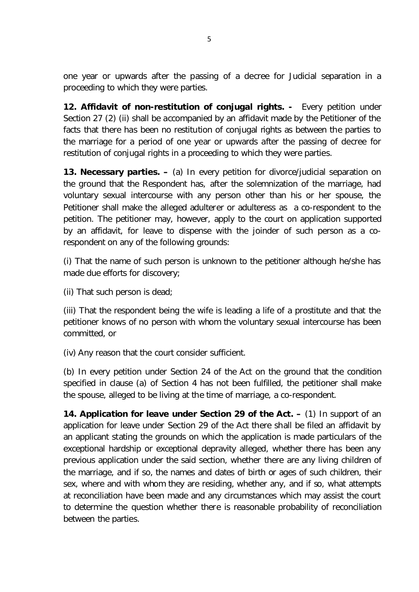one year or upwards after the passing of a decree for Judicial separation in a proceeding to which they were parties.

**12. Affidavit of non-restitution of conjugal rights. -** Every petition under Section 27 (2) (ii) shall be accompanied by an affidavit made by the Petitioner of the facts that there has been no restitution of conjugal rights as between the parties to the marriage for a period of one year or upwards after the passing of decree for restitution of conjugal rights in a proceeding to which they were parties.

**13. Necessary parties. –** (a) In every petition for divorce/judicial separation on the ground that the Respondent has, after the solemnization of the marriage, had voluntary sexual intercourse with any person other than his or her spouse, the Petitioner shall make the alleged adulterer or adulteress as a co-respondent to the petition. The petitioner may, however, apply to the court on application supported by an affidavit, for leave to dispense with the joinder of such person as a corespondent on any of the following grounds:

(i) That the name of such person is unknown to the petitioner although he/she has made due efforts for discovery;

(ii) That such person is dead;

(iii) That the respondent being the wife is leading a life of a prostitute and that the petitioner knows of no person with whom the voluntary sexual intercourse has been committed, or

(iv) Any reason that the court consider sufficient.

(b) In every petition under Section 24 of the Act on the ground that the condition specified in clause (a) of Section 4 has not been fulfilled, the petitioner shall make the spouse, alleged to be living at the time of marriage, a co-respondent.

**14. Application for leave under Section 29 of the Act. –** (1) In support of an application for leave under Section 29 of the Act there shall be filed an affidavit by an applicant stating the grounds on which the application is made particulars of the exceptional hardship or exceptional depravity alleged, whether there has been any previous application under the said section, whether there are any living children of the marriage, and if so, the names and dates of birth or ages of such children, their sex, where and with whom they are residing, whether any, and if so, what attempts at reconciliation have been made and any circumstances which may assist the court to determine the question whether there is reasonable probability of reconciliation between the parties.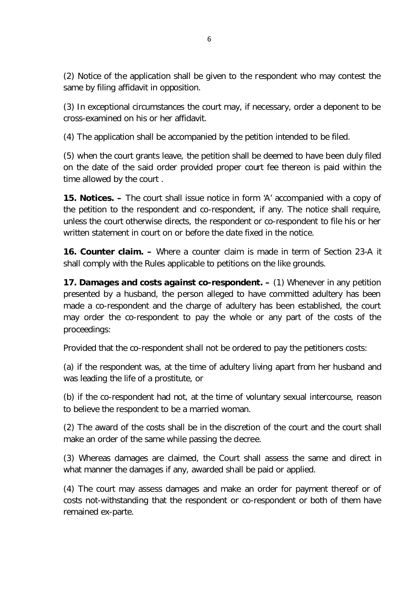(2) Notice of the application shall be given to the respondent who may contest the same by filing affidavit in opposition.

(3) In exceptional circumstances the court may, if necessary, order a deponent to be cross-examined on his or her affidavit.

(4) The application shall be accompanied by the petition intended to be filed.

(5) when the court grants leave, the petition shall be deemed to have been duly filed on the date of the said order provided proper court fee thereon is paid within the time allowed by the court .

**15. Notices. –** The court shall issue notice in form 'A' accompanied with a copy of the petition to the respondent and co-respondent, if any. The notice shall require, unless the court otherwise directs, the respondent or co-respondent to file his or her written statement in court on or before the date fixed in the notice.

**16. Counter claim. –** Where a counter claim is made in term of Section 23-A it shall comply with the Rules applicable to petitions on the like grounds.

**17. Damages and costs against co-respondent. –** (1) Whenever in any petition presented by a husband, the person alleged to have committed adultery has been made a co-respondent and the charge of adultery has been established, the court may order the co-respondent to pay the whole or any part of the costs of the proceedings:

Provided that the co-respondent shall not be ordered to pay the petitioners costs:

(a) if the respondent was, at the time of adultery living apart from her husband and was leading the life of a prostitute, or

(b) if the co-respondent had not, at the time of voluntary sexual intercourse, reason to believe the respondent to be a married woman.

(2) The award of the costs shall be in the discretion of the court and the court shall make an order of the same while passing the decree.

(3) Whereas damages are claimed, the Court shall assess the same and direct in what manner the damages if any, awarded shall be paid or applied.

(4) The court may assess damages and make an order for payment thereof or of costs not-withstanding that the respondent or co-respondent or both of them have remained ex-parte.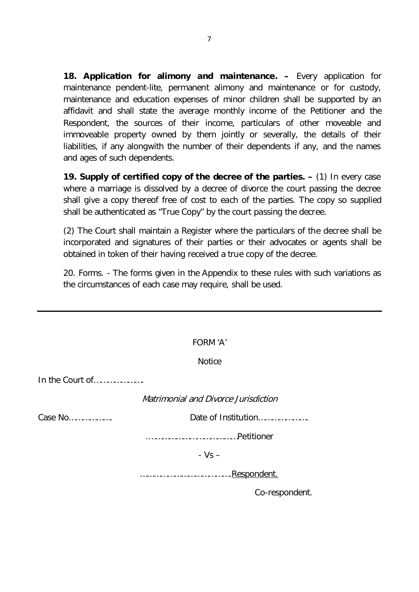**18. Application for alimony and maintenance. –** Every application for maintenance pendent-lite, permanent alimony and maintenance or for custody, maintenance and education expenses of minor children shall be supported by an affidavit and shall state the average monthly income of the Petitioner and the Respondent, the sources of their income, particulars of other moveable and immoveable property owned by them jointly or severally, the details of their liabilities, if any alongwith the number of their dependents if any, and the names and ages of such dependents.

**19. Supply of certified copy of the decree of the parties. –** (1) In every case where a marriage is dissolved by a decree of divorce the court passing the decree shall give a copy thereof free of cost to each of the parties. The copy so supplied shall be authenticated as "True Copy" by the court passing the decree.

(2) The Court shall maintain a Register where the particulars of the decree shall be incorporated and signatures of their parties or their advocates or agents shall be obtained in token of their having received a true copy of the decree.

20. Forms. - The forms given in the Appendix to these rules with such variations as the circumstances of each case may require, shall be used.

|                 | FORM 'A'                             |  |  |  |  |
|-----------------|--------------------------------------|--|--|--|--|
|                 | <b>Notice</b>                        |  |  |  |  |
| In the Court of |                                      |  |  |  |  |
|                 | Matrimonial and Divorce Jurisdiction |  |  |  |  |
| Case No         | Date of Institution                  |  |  |  |  |
|                 |                                      |  |  |  |  |
|                 | $-Vs -$                              |  |  |  |  |
| .Respondent.    |                                      |  |  |  |  |
|                 | Co-respondent.                       |  |  |  |  |
|                 |                                      |  |  |  |  |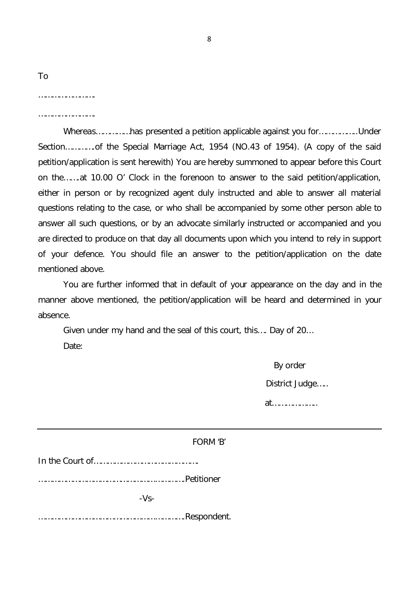| To |  |
|----|--|
|    |  |

…………………………

Whereas……………has presented a petition applicable against you for……………..Under Section………….of the Special Marriage Act, 1954 (NO.43 of 1954). (A copy of the said petition/application is sent herewith) You are hereby summoned to appear before this Court on the…….at 10.00 O' Clock in the forenoon to answer to the said petition/application, either in person or by recognized agent duly instructed and able to answer all material questions relating to the case, or who shall be accompanied by some other person able to answer all such questions, or by an advocate similarly instructed or accompanied and you are directed to produce on that day all documents upon which you intend to rely in support of your defence. You should file an answer to the petition/application on the date mentioned above.

You are further informed that in default of your appearance on the day and in the manner above mentioned, the petition/application will be heard and determined in your absence.

Given under my hand and the seal of this court, this…. Day of 20… Date:

> By order District Judge….. at………………..

|        | FORM 'B' |
|--------|----------|
|        |          |
|        |          |
| $-Vs-$ |          |
|        |          |
|        |          |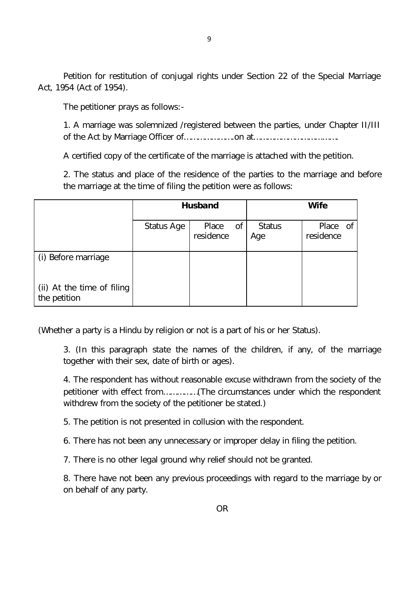Petition for restitution of conjugal rights under Section 22 of the Special Marriage Act, 1954 (Act of 1954).

The petitioner prays as follows:-

1. A marriage was solemnized /registered between the parties, under Chapter II/III of the Act by Marriage Officer of………………….on at……………………………….

A certified copy of the certificate of the marriage is attached with the petition.

2. The status and place of the residence of the parties to the marriage and before the marriage at the time of filing the petition were as follows:

|                                            | <b>Husband</b> |                       |  | <b>Wife</b>          |                       |  |
|--------------------------------------------|----------------|-----------------------|--|----------------------|-----------------------|--|
|                                            | Status Age     | Place of<br>residence |  | <b>Status</b><br>Age | Place of<br>residence |  |
| (i) Before marriage                        |                |                       |  |                      |                       |  |
| (ii) At the time of filing<br>the petition |                |                       |  |                      |                       |  |

(Whether a party is a Hindu by religion or not is a part of his or her Status).

3. (In this paragraph state the names of the children, if any, of the marriage together with their sex, date of birth or ages).

4. The respondent has without reasonable excuse withdrawn from the society of the petitioner with effect from……………(The circumstances under which the respondent withdrew from the society of the petitioner be stated.)

5. The petition is not presented in collusion with the respondent.

6. There has not been any unnecessary or improper delay in filing the petition.

7. There is no other legal ground why relief should not be granted.

8. There have not been any previous proceedings with regard to the marriage by or on behalf of any party.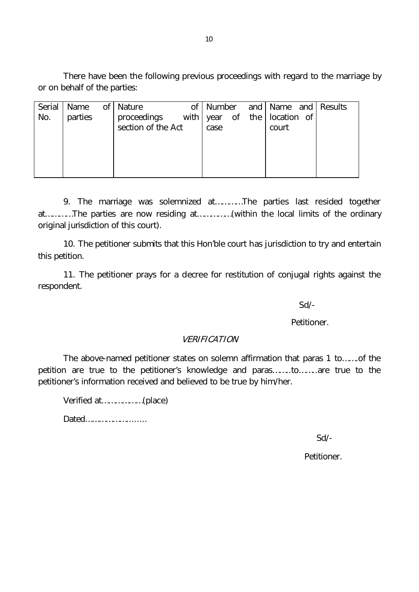There have been the following previous proceedings with regard to the marriage by or on behalf of the parties:

| Serial | Name of Nature |                    | οf |      |  |                              | Number and Name and Results |
|--------|----------------|--------------------|----|------|--|------------------------------|-----------------------------|
| No.    | parties        | proceedings        |    |      |  | with year of the location of |                             |
|        |                | section of the Act |    | case |  | court                        |                             |
|        |                |                    |    |      |  |                              |                             |
|        |                |                    |    |      |  |                              |                             |
|        |                |                    |    |      |  |                              |                             |
|        |                |                    |    |      |  |                              |                             |

9. The marriage was solemnized at…………The parties last resided together at…………The parties are now residing at……………(within the local limits of the ordinary original jurisdiction of this court).

10. The petitioner submits that this Hon'ble court has jurisdiction to try and entertain this petition.

11. The petitioner prays for a decree for restitution of conjugal rights against the respondent.

Sd/-

Petitioner.

# VERIFICATION

The above-named petitioner states on solemn affirmation that paras 1 to…….of the petition are true to the petitioner's knowledge and paras……..to……..are true to the petitioner's information received and believed to be true by him/her.

Verified at………………(place)

Dated………………........

Sd/-

Petitioner.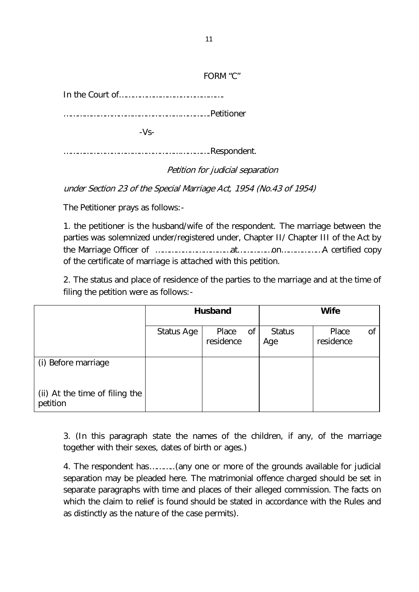# FORM "C"

In the Court of……………………………………….

……………………………………………………….Petitioner

-Vs-

……………………………………………………….Respondent.

Petition for judicial separation

under Section 23 of the Special Marriage Act, 1954 (No.43 of 1954)

The Petitioner prays as follows:-

1. the petitioner is the husband/wife of the respondent. The marriage between the parties was solemnized under/registered under, Chapter II/ Chapter III of the Act by the Marriage Officer of ……………………………at……………on………………A certified copy of the certificate of marriage is attached with this petition.

2. The status and place of residence of the parties to the marriage and at the time of filing the petition were as follows:-

|                                            |            | <b>Husband</b>           | <b>Wife</b>          |                          |  |  |
|--------------------------------------------|------------|--------------------------|----------------------|--------------------------|--|--|
|                                            | Status Age | Place<br>0f<br>residence | <b>Status</b><br>Age | Place<br>οf<br>residence |  |  |
| (i) Before marriage                        |            |                          |                      |                          |  |  |
| (ii) At the time of filing the<br>petition |            |                          |                      |                          |  |  |

3. (In this paragraph state the names of the children, if any, of the marriage together with their sexes, dates of birth or ages.)

4. The respondent has………..(any one or more of the grounds available for judicial separation may be pleaded here. The matrimonial offence charged should be set in separate paragraphs with time and places of their alleged commission. The facts on which the claim to relief is found should be stated in accordance with the Rules and as distinctly as the nature of the case permits).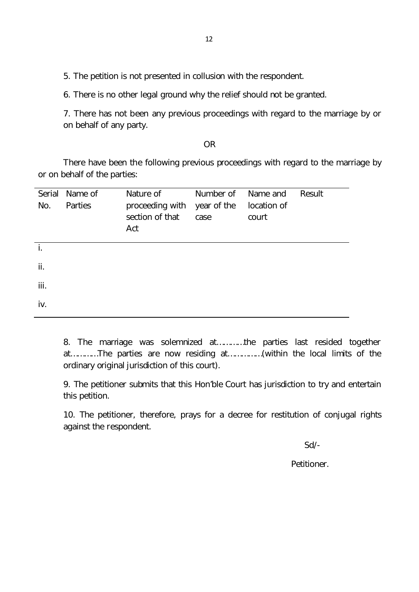5. The petition is not presented in collusion with the respondent.

6. There is no other legal ground why the relief should not be granted.

7. There has not been any previous proceedings with regard to the marriage by or on behalf of any party.

#### OR

There have been the following previous proceedings with regard to the marriage by or on behalf of the parties:

| Serial<br>No. | Name of<br>Parties | Nature of<br>proceeding with<br>section of that<br>Act | Number of<br>year of the<br>case | Name and<br>location of<br>court | Result |
|---------------|--------------------|--------------------------------------------------------|----------------------------------|----------------------------------|--------|
| İ.            |                    |                                                        |                                  |                                  |        |
| ii.           |                    |                                                        |                                  |                                  |        |
| iii.          |                    |                                                        |                                  |                                  |        |
| iv.           |                    |                                                        |                                  |                                  |        |

8. The marriage was solemnized at…………the parties last resided together at…………The parties are now residing at……………(within the local limits of the ordinary original jurisdiction of this court).

9. The petitioner submits that this Hon'ble Court has jurisdiction to try and entertain this petition.

10. The petitioner, therefore, prays for a decree for restitution of conjugal rights against the respondent.

Sd/-

Petitioner.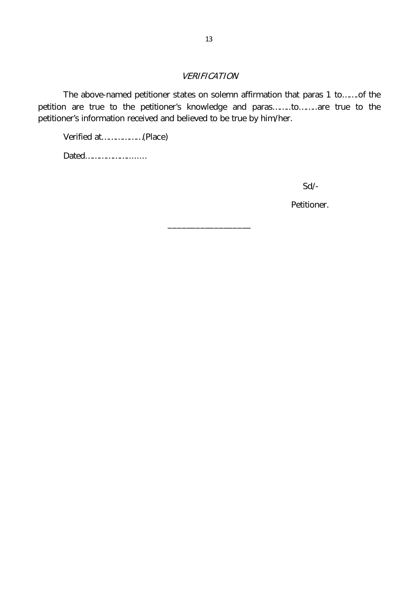# VERIFICATION

The above-named petitioner states on solemn affirmation that paras 1 to…….of the petition are true to the petitioner's knowledge and paras……..to……..are true to the petitioner's information received and believed to be true by him/her.

\_\_\_\_\_\_\_\_\_\_\_\_\_\_\_\_\_\_

Verified at………………(Place)

Dated………………........

Sd/-

Petitioner.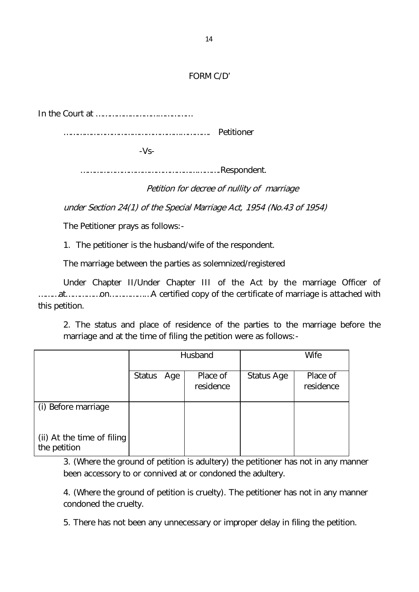# FORM C/D'

In the Court at ……………………………………

………………………………………………………. Petitioner

-Vs-

…………………………………………………….Respondent.

Petition for decree of nullity of marriage

under Section 24(1) of the Special Marriage Act, 1954 (No.43 of 1954)

The Petitioner prays as follows:-

1. The petitioner is the husband/wife of the respondent.

The marriage between the parties as solemnized/registered

Under Chapter II/Under Chapter III of the Act by the marriage Officer of ………at……………on………………A certified copy of the certificate of marriage is attached with this petition.

2. The status and place of residence of the parties to the marriage before the marriage and at the time of filing the petition were as follows:-

|                                            | Husband       |     |                       | Wife       |                       |  |
|--------------------------------------------|---------------|-----|-----------------------|------------|-----------------------|--|
|                                            | <b>Status</b> | Age | Place of<br>residence | Status Age | Place of<br>residence |  |
| (i) Before marriage                        |               |     |                       |            |                       |  |
| (ii) At the time of filing<br>the petition |               |     |                       |            |                       |  |

3. (Where the ground of petition is adultery) the petitioner has not in any manner been accessory to or connived at or condoned the adultery.

4. (Where the ground of petition is cruelty). The petitioner has not in any manner condoned the cruelty.

5. There has not been any unnecessary or improper delay in filing the petition.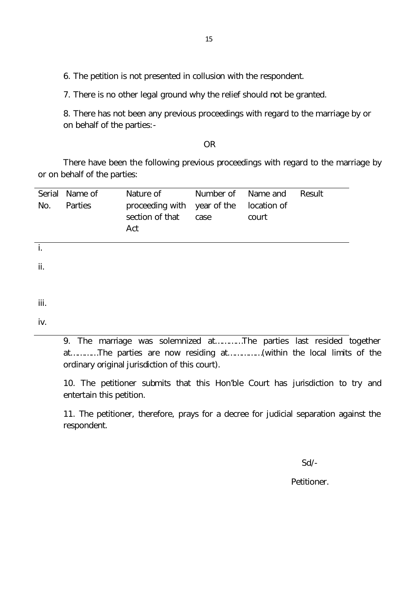6. The petition is not presented in collusion with the respondent.

7. There is no other legal ground why the relief should not be granted.

8. There has not been any previous proceedings with regard to the marriage by or on behalf of the parties:-

OR

There have been the following previous proceedings with regard to the marriage by or on behalf of the parties:

| Serial<br>No. | Name of<br>Parties | Nature of<br>proceeding with<br>section of that<br>Act | Number of<br>year of the<br>case | Name and<br>location of<br>court | Result |
|---------------|--------------------|--------------------------------------------------------|----------------------------------|----------------------------------|--------|
|               |                    |                                                        |                                  |                                  |        |
| ii.           |                    |                                                        |                                  |                                  |        |
|               |                    |                                                        |                                  |                                  |        |

iii.

iv.

9. The marriage was solemnized at…………The parties last resided together at…………The parties are now residing at……………(within the local limits of the ordinary original jurisdiction of this court).

10. The petitioner submits that this Hon'ble Court has jurisdiction to try and entertain this petition.

11. The petitioner, therefore, prays for a decree for judicial separation against the respondent.

Sd/-

Petitioner.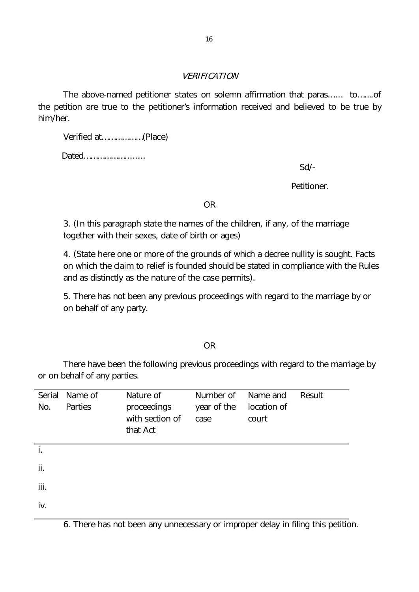#### VERIFICATION

The above-named petitioner states on solemn affirmation that paras…… to…….of the petition are true to the petitioner's information received and believed to be true by him/her.

Verified at………………(Place)

Dated………………........

Sd/-

Petitioner.

OR

3. (In this paragraph state the names of the children, if any, of the marriage together with their sexes, date of birth or ages)

4. (State here one or more of the grounds of which a decree nullity is sought. Facts on which the claim to relief is founded should be stated in compliance with the Rules and as distinctly as the nature of the case permits).

5. There has not been any previous proceedings with regard to the marriage by or on behalf of any party.

OR

There have been the following previous proceedings with regard to the marriage by or on behalf of any parties.

| Serial<br>No. | Name of<br>Parties | Nature of<br>proceedings<br>with section of<br>that Act | Number of<br>year of the<br>case | Name and<br>location of<br>court | Result |
|---------------|--------------------|---------------------------------------------------------|----------------------------------|----------------------------------|--------|
| i.            |                    |                                                         |                                  |                                  |        |
| ii.           |                    |                                                         |                                  |                                  |        |
| iii.          |                    |                                                         |                                  |                                  |        |
| iv.           |                    |                                                         |                                  |                                  |        |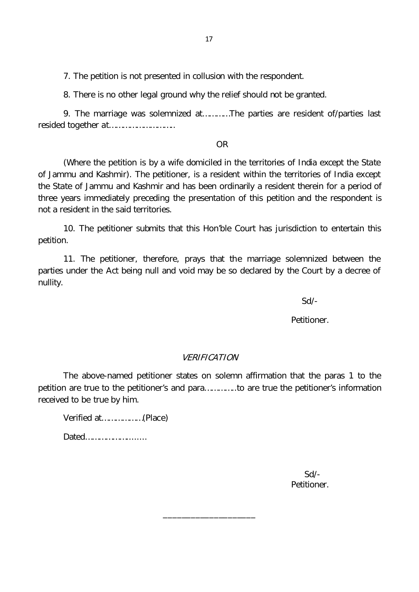7. The petition is not presented in collusion with the respondent.

8. There is no other legal ground why the relief should not be granted.

9. The marriage was solemnized at…………The parties are resident of/parties last resided together at………………………..

OR

(Where the petition is by a wife domiciled in the territories of India except the State of Jammu and Kashmir). The petitioner, is a resident within the territories of India except the State of Jammu and Kashmir and has been ordinarily a resident therein for a period of three years immediately preceding the presentation of this petition and the respondent is not a resident in the said territories.

10. The petitioner submits that this Hon'ble Court has jurisdiction to entertain this petition.

11. The petitioner, therefore, prays that the marriage solemnized between the parties under the Act being null and void may be so declared by the Court by a decree of nullity.

Sd/-

Petitioner.

#### VERIFICATION

The above-named petitioner states on solemn affirmation that the paras 1 to the petition are true to the petitioner's and para…………..to are true the petitioner's information received to be true by him.

\_\_\_\_\_\_\_\_\_\_\_\_\_\_\_\_\_\_\_\_

Verified at………………(Place)

Dated………………........

 Sd/- Petitioner.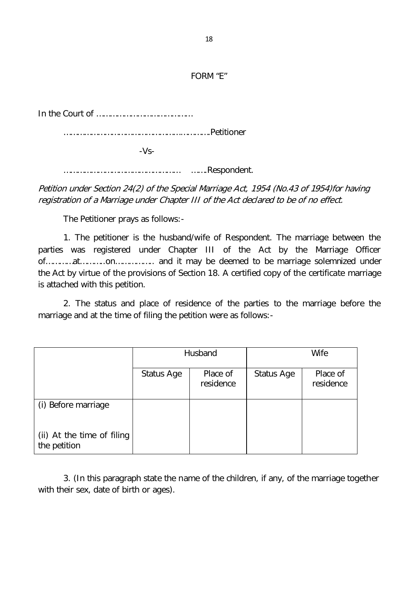FORM "E"

In the Court of ……………………………………

……………………………………………………….Petitioner

-Vs-

…………………………………………… …….Respondent.

Petition under Section 24(2) of the Special Marriage Act, 1954 (No.43 of 1954)for having registration of a Marriage under Chapter III of the Act declared to be of no effect.

The Petitioner prays as follows:-

1. The petitioner is the husband/wife of Respondent. The marriage between the parties was registered under Chapter III of the Act by the Marriage Officer of…………at………..on…………….. and it may be deemed to be marriage solemnized under the Act by virtue of the provisions of Section 18. A certified copy of the certificate marriage is attached with this petition.

2. The status and place of residence of the parties to the marriage before the marriage and at the time of filing the petition were as follows:-

|                                            | Husband    |                       | <b>Wife</b> |                       |  |
|--------------------------------------------|------------|-----------------------|-------------|-----------------------|--|
|                                            | Status Age | Place of<br>residence | Status Age  | Place of<br>residence |  |
| (i) Before marriage                        |            |                       |             |                       |  |
| (ii) At the time of filing<br>the petition |            |                       |             |                       |  |

3. (In this paragraph state the name of the children, if any, of the marriage together with their sex, date of birth or ages).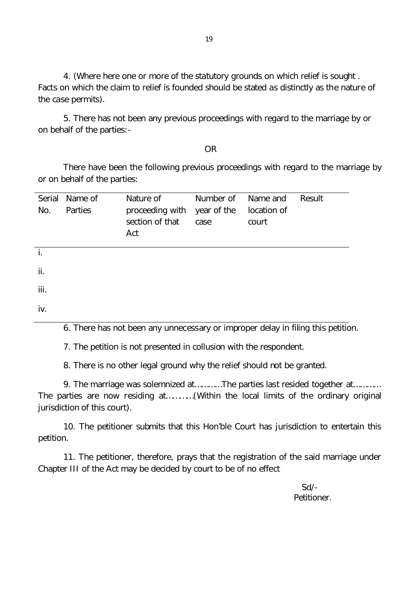4. (Where here one or more of the statutory grounds on which relief is sought . Facts on which the claim to relief is founded should be stated as distinctly as the nature of the case permits).

5. There has not been any previous proceedings with regard to the marriage by or on behalf of the parties:-

OR

There have been the following previous proceedings with regard to the marriage by or on behalf of the parties:

| Serial<br>No.  | Name of<br>Parties | Nature of<br>proceeding with<br>section of that<br>Act | Number of<br>year of the<br>case | Name and<br>location of<br>court | Result |
|----------------|--------------------|--------------------------------------------------------|----------------------------------|----------------------------------|--------|
| $\mathbf{i}$ . |                    |                                                        |                                  |                                  |        |
| ii.            |                    |                                                        |                                  |                                  |        |
| iii.           |                    |                                                        |                                  |                                  |        |
| iv.            |                    |                                                        |                                  |                                  |        |

6. There has not been any unnecessary or improper delay in filing this petition.

7. The petition is not presented in collusion with the respondent.

8. There is no other legal ground why the relief should not be granted.

9. The marriage was solemnized at…………The parties last resided together at………… The parties are now residing at…………(Within the local limits of the ordinary original jurisdiction of this court).

10. The petitioner submits that this Hon'ble Court has jurisdiction to entertain this petition.

11. The petitioner, therefore, prays that the registration of the said marriage under Chapter III of the Act may be decided by court to be of no effect

> Sd/- Petitioner.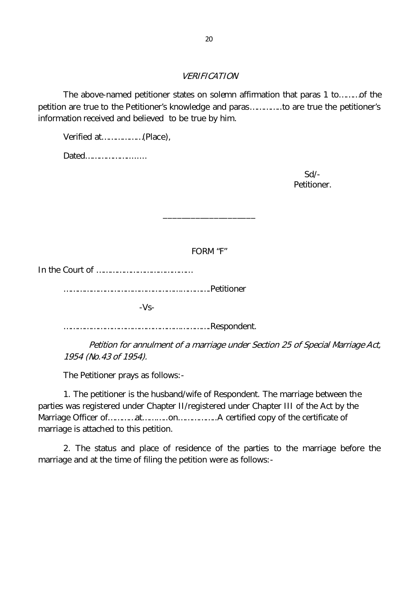#### VERIFICATION

The above-named petitioner states on solemn affirmation that paras 1 to………of the petition are true to the Petitioner's knowledge and paras…………..to are true the petitioner's information received and believed to be true by him.

Verified at………………(Place),

Dated………………........

 Sd/- Petitioner.

FORM "F"

\_\_\_\_\_\_\_\_\_\_\_\_\_\_\_\_\_\_\_\_

In the Court of ……………………………………

……………………………………………………….Petitioner

-Vs-

……………………………………………………….Respondent.

Petition for annulment of a marriage under Section 25 of Special Marriage Act, 1954 (No.43 of 1954).

The Petitioner prays as follows:-

1. The petitioner is the husband/wife of Respondent. The marriage between the parties was registered under Chapter II/registered under Chapter III of the Act by the Marriage Officer of…………at………..on……………..A certified copy of the certificate of marriage is attached to this petition.

2. The status and place of residence of the parties to the marriage before the marriage and at the time of filing the petition were as follows:-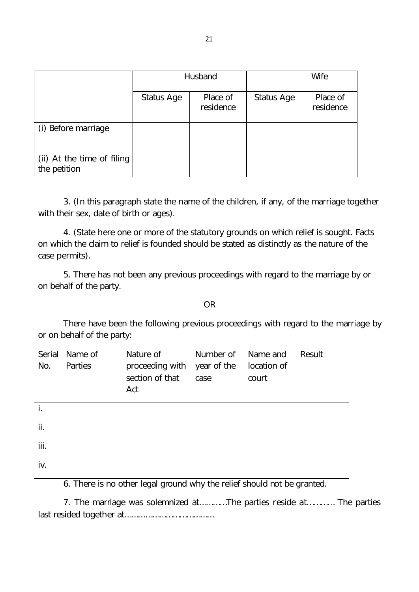|                                            | Husband    |                       | Wife       |                       |
|--------------------------------------------|------------|-----------------------|------------|-----------------------|
|                                            | Status Age | Place of<br>residence | Status Age | Place of<br>residence |
| (i) Before marriage                        |            |                       |            |                       |
| (ii) At the time of filing<br>the petition |            |                       |            |                       |

3. (In this paragraph state the name of the children, if any, of the marriage together with their sex, date of birth or ages).

4. (State here one or more of the statutory grounds on which relief is sought. Facts on which the claim to relief is founded should be stated as distinctly as the nature of the case permits).

5. There has not been any previous proceedings with regard to the marriage by or on behalf of the party.

OR

There have been the following previous proceedings with regard to the marriage by or on behalf of the party:

| Serial<br>No.  | Name of<br>Parties | Nature of<br>proceeding with<br>section of that<br>Act | Number of<br>year of the<br>case | Name and<br>location of<br>court | Result |
|----------------|--------------------|--------------------------------------------------------|----------------------------------|----------------------------------|--------|
| $\mathbf{i}$ . |                    |                                                        |                                  |                                  |        |
| ii.            |                    |                                                        |                                  |                                  |        |
| iii.           |                    |                                                        |                                  |                                  |        |
| iv.            |                    |                                                        |                                  |                                  |        |

6. There is no other legal ground why the relief should not be granted.

7. The marriage was solemnized at…………The parties reside at………… The parties last resided together at…………………………………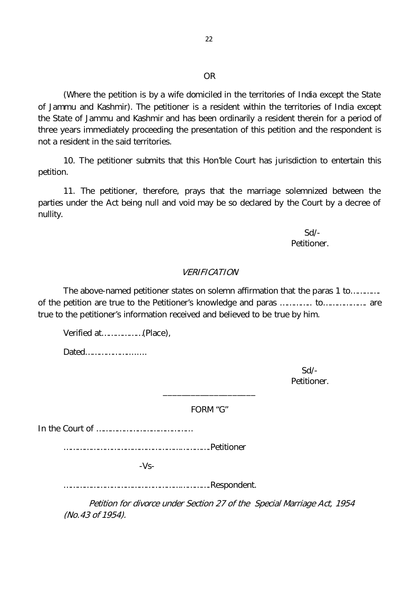#### OR

(Where the petition is by a wife domiciled in the territories of India except the State of Jammu and Kashmir). The petitioner is a resident within the territories of India except the State of Jammu and Kashmir and has been ordinarily a resident therein for a period of three years immediately proceeding the presentation of this petition and the respondent is not a resident in the said territories.

10. The petitioner submits that this Hon'ble Court has jurisdiction to entertain this petition.

11. The petitioner, therefore, prays that the marriage solemnized between the parties under the Act being null and void may be so declared by the Court by a decree of nullity.

> Sd/- Petitioner.

#### VERIFICATION

The above-named petitioner states on solemn affirmation that the paras 1 to…………. of the petition are true to the Petitioner's knowledge and paras ………….. to………………. are true to the petitioner's information received and believed to be true by him.

Verified at………………(Place),

Dated………………........

 Sd/- Petitioner.

FORM "G"

\_\_\_\_\_\_\_\_\_\_\_\_\_\_\_\_\_\_\_\_

In the Court of ……………………………………

……………………………………………………….Petitioner

-Vs-

……………………………………………………….Respondent.

Petition for divorce under Section 27 of the Special Marriage Act, 1954 (No.43 of 1954).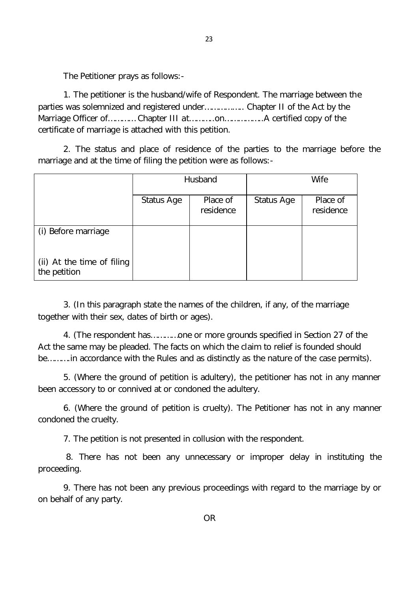The Petitioner prays as follows:-

1. The petitioner is the husband/wife of Respondent. The marriage between the parties was solemnized and registered under…………….. Chapter II of the Act by the Marriage Officer of………… Chapter III at………..on……………..A certified copy of the certificate of marriage is attached with this petition.

2. The status and place of residence of the parties to the marriage before the marriage and at the time of filing the petition were as follows:-

|                                            | Husband    |                       | Wife       |                       |
|--------------------------------------------|------------|-----------------------|------------|-----------------------|
|                                            | Status Age | Place of<br>residence | Status Age | Place of<br>residence |
| (i) Before marriage                        |            |                       |            |                       |
| (ii) At the time of filing<br>the petition |            |                       |            |                       |

3. (In this paragraph state the names of the children, if any, of the marriage together with their sex, dates of birth or ages).

4. (The respondent has…………one or more grounds specified in Section 27 of the Act the same may be pleaded. The facts on which the claim to relief is founded should be……….in accordance with the Rules and as distinctly as the nature of the case permits).

5. (Where the ground of petition is adultery), the petitioner has not in any manner been accessory to or connived at or condoned the adultery.

6. (Where the ground of petition is cruelty). The Petitioner has not in any manner condoned the cruelty.

7. The petition is not presented in collusion with the respondent.

8. There has not been any unnecessary or improper delay in instituting the proceeding.

9. There has not been any previous proceedings with regard to the marriage by or on behalf of any party.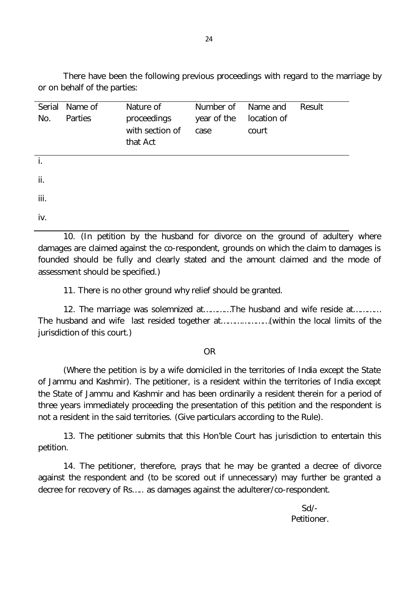There have been the following previous proceedings with regard to the marriage by or on behalf of the parties:

| Serial | Name of | Nature of       | Number of   | Name and    | Result |
|--------|---------|-----------------|-------------|-------------|--------|
| No.    | Parties | proceedings     | year of the | location of |        |
|        |         | with section of | case        | court       |        |
|        |         | that Act        |             |             |        |
| j.     |         |                 |             |             |        |
|        |         |                 |             |             |        |
| ii.    |         |                 |             |             |        |
|        |         |                 |             |             |        |
| iii.   |         |                 |             |             |        |
| iv.    |         |                 |             |             |        |
|        |         |                 |             |             |        |

10. (In petition by the husband for divorce on the ground of adultery where damages are claimed against the co-respondent, grounds on which the claim to damages is founded should be fully and clearly stated and the amount claimed and the mode of assessment should be specified.)

11. There is no other ground why relief should be granted.

12. The marriage was solemnized at…………The husband and wife reside at………… The husband and wife last resided together at…………………(within the local limits of the jurisdiction of this court.)

#### OR

(Where the petition is by a wife domiciled in the territories of India except the State of Jammu and Kashmir). The petitioner, is a resident within the territories of India except the State of Jammu and Kashmir and has been ordinarily a resident therein for a period of three years immediately proceeding the presentation of this petition and the respondent is not a resident in the said territories. (Give particulars according to the Rule).

13. The petitioner submits that this Hon'ble Court has jurisdiction to entertain this petition.

14. The petitioner, therefore, prays that he may be granted a decree of divorce against the respondent and (to be scored out if unnecessary) may further be granted a decree for recovery of Rs….. as damages against the adulterer/co-respondent.

> Sd/- Petitioner.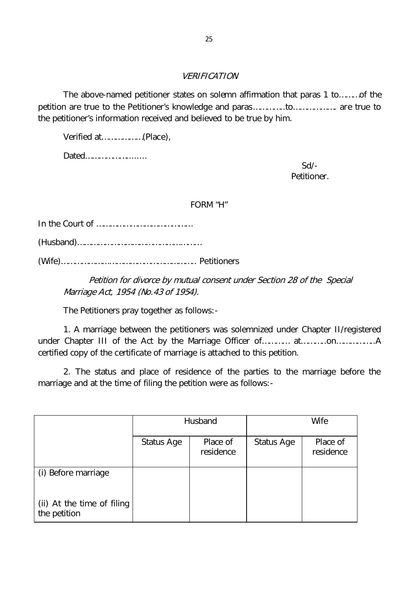# VERIFICATION

The above-named petitioner states on solemn affirmation that paras 1 to………of the petition are true to the Petitioner's knowledge and paras…………..to………………. are true to the petitioner's information received and believed to be true by him.

Verified at………………(Place),

Dated………………........

 Sd/- Petitioner.

#### FORM "H"

In the Court of ……………………………………

(Husband)………………………………………………

(Wife)………………………………………………….. Petitioners

Petition for divorce by mutual consent under Section 28 of the Special Marriage Act, 1954 (No.43 of 1954).

The Petitioners pray together as follows:-

1. A marriage between the petitioners was solemnized under Chapter II/registered under Chapter III of the Act by the Marriage Officer of………… at………..on………………..A certified copy of the certificate of marriage is attached to this petition.

2. The status and place of residence of the parties to the marriage before the marriage and at the time of filing the petition were as follows:-

|                                            | Husband    |                       | <b>Wife</b> |                       |
|--------------------------------------------|------------|-----------------------|-------------|-----------------------|
|                                            | Status Age | Place of<br>residence | Status Age  | Place of<br>residence |
| (i) Before marriage                        |            |                       |             |                       |
| (ii) At the time of filing<br>the petition |            |                       |             |                       |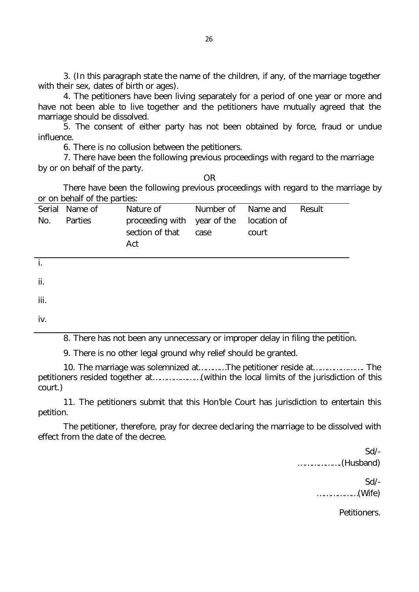3. (In this paragraph state the name of the children, if any, of the marriage together with their sex, dates of birth or ages).

4. The petitioners have been living separately for a period of one year or more and have not been able to live together and the petitioners have mutually agreed that the marriage should be dissolved.

5. The consent of either party has not been obtained by force, fraud or undue influence.

6. There is no collusion between the petitioners.

7. There have been the following previous proceedings with regard to the marriage by or on behalf of the party.

OR

There have been the following previous proceedings with regard to the marriage by or on behalf of the parties:

|     | Serial Name of | Nature of                                                         | Number of Name and |       | Result |
|-----|----------------|-------------------------------------------------------------------|--------------------|-------|--------|
| No. | Parties        | proceeding with year of the location of<br>section of that<br>Act | case               | court |        |

i.

ii.

iii.

iv.

8. There has not been any unnecessary or improper delay in filing the petition.

9. There is no other legal ground why relief should be granted.

10. The marriage was solemnized at…………The petitioner reside at…………………. The petitioners resided together at…………………(within the local limits of the jurisdiction of this court.)

11. The petitioners submit that this Hon'ble Court has jurisdiction to entertain this petition.

The petitioner, therefore, pray for decree declaring the marriage to be dissolved with effect from the date of the decree.

 Sd/- ……………….(Husband) Sd/- ………………(Wife)

Petitioners.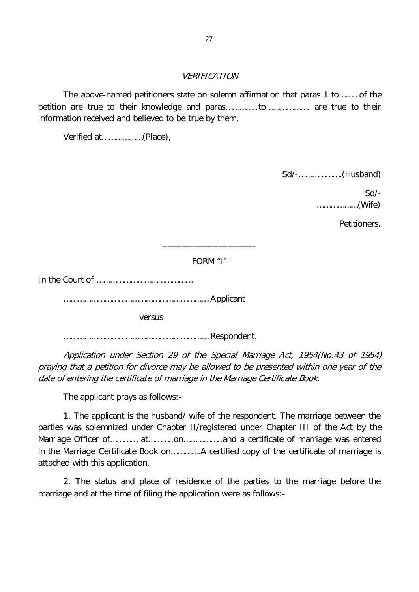#### VERIFICATION

The above-named petitioners state on solemn affirmation that paras 1 to………of the petition are true to their knowledge and paras…………..to………………. are true to their information received and believed to be true by them.

Verified at………………(Place),

Sd/-……………….(Husband)

 Sd/- ………………(Wife)

Petitioners.

FORM "I"

\_\_\_\_\_\_\_\_\_\_\_\_\_\_\_\_\_\_\_\_

In the Court of ……………………………………

……………………………………………………….Applicant

versus

……………………………………………………….Respondent.

Application under Section 29 of the Special Marriage Act, 1954(No.43 of 1954) praying that a petition for divorce may be allowed to be presented within one year of the date of entering the certificate of marriage in the Marriage Certificate Book.

The applicant prays as follows:-

1. The applicant is the husband/ wife of the respondent. The marriage between the parties was solemnized under Chapter II/registered under Chapter III of the Act by the Marriage Officer of………… at………..on……………..and a certificate of marriage was entered in the Marriage Certificate Book on………….A certified copy of the certificate of marriage is attached with this application.

2. The status and place of residence of the parties to the marriage before the marriage and at the time of filing the application were as follows:-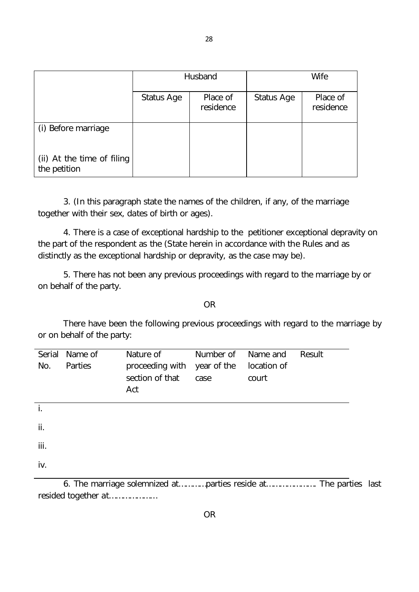|                                            | Husband    |                       | Wife       |                       |
|--------------------------------------------|------------|-----------------------|------------|-----------------------|
|                                            | Status Age | Place of<br>residence | Status Age | Place of<br>residence |
| (i) Before marriage                        |            |                       |            |                       |
| (ii) At the time of filing<br>the petition |            |                       |            |                       |

3. (In this paragraph state the names of the children, if any, of the marriage together with their sex, dates of birth or ages).

4. There is a case of exceptional hardship to the petitioner exceptional depravity on the part of the respondent as the (State herein in accordance with the Rules and as distinctly as the exceptional hardship or depravity, as the case may be).

5. There has not been any previous proceedings with regard to the marriage by or on behalf of the party.

OR

There have been the following previous proceedings with regard to the marriage by or on behalf of the party:

| Serial<br>No. | Name of<br>Parties | Nature of<br>proceeding with<br>section of that<br>Act | Number of<br>year of the<br>case | Name and<br>location of<br>court | Result |
|---------------|--------------------|--------------------------------------------------------|----------------------------------|----------------------------------|--------|
| İ.            |                    |                                                        |                                  |                                  |        |
| ii.           |                    |                                                        |                                  |                                  |        |
| iii.          |                    |                                                        |                                  |                                  |        |
| iv.           |                    |                                                        |                                  |                                  |        |

6. The marriage solemnized at…………parties reside at…………………. The parties last resided together at…………………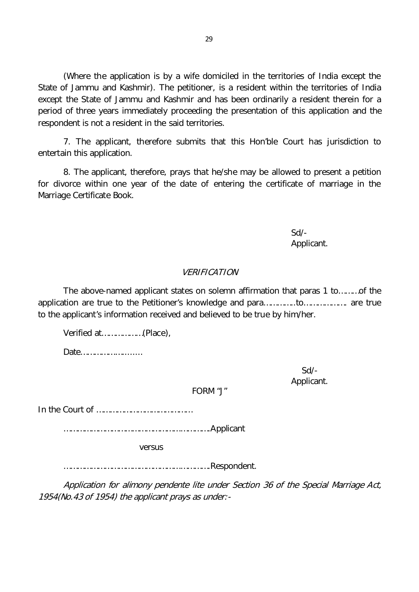(Where the application is by a wife domiciled in the territories of India except the State of Jammu and Kashmir). The petitioner, is a resident within the territories of India except the State of Jammu and Kashmir and has been ordinarily a resident therein for a period of three years immediately proceeding the presentation of this application and the respondent is not a resident in the said territories.

7. The applicant, therefore submits that this Hon'ble Court has jurisdiction to entertain this application.

8. The applicant, therefore, prays that he/she may be allowed to present a petition for divorce within one year of the date of entering the certificate of marriage in the Marriage Certificate Book.

> Sd/- Applicant.

#### VERIFICATION

The above-named applicant states on solemn affirmation that paras 1 to………of the application are true to the Petitioner's knowledge and para…………..to………………. are true to the applicant's information received and believed to be true by him/her.

Verified at………………(Place),

Date………………........

 Sd/- Applicant.

FORM "J"

In the Court of ……………………………………

……………………………………………………….Applicant

versus

……………………………………………………….Respondent.

Application for alimony pendente lite under Section 36 of the Special Marriage Act, 1954(No.43 of 1954) the applicant prays as under:-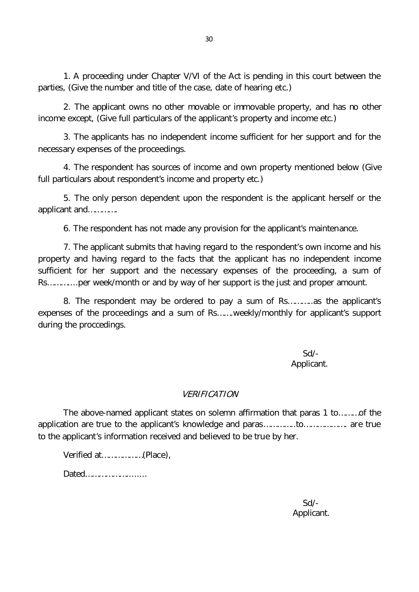1. A proceeding under Chapter V/VI of the Act is pending in this court between the parties, (Give the number and title of the case, date of hearing etc.)

30

2. The applicant owns no other movable or immovable property, and has no other income except, (Give full particulars of the applicant's property and income etc.)

3. The applicants has no independent income sufficient for her support and for the necessary expenses of the proceedings.

4. The respondent has sources of income and own property mentioned below (Give full particulars about respondent's income and property etc.)

5. The only person dependent upon the respondent is the applicant herself or the applicant and………….

6. The respondent has not made any provision for the applicant's maintenance.

7. The applicant submits that having regard to the respondent's own income and his property and having regard to the facts that the applicant has no independent income sufficient for her support and the necessary expenses of the proceeding, a sum of Rs………....per week/month or and by way of her support is the just and proper amount.

8. The respondent may be ordered to pay a sum of Rs………..as the applicant's expenses of the proceedings and a sum of Rs…….weekly/monthly for applicant's support during the proccedings.

> Sd/- Applicant.

#### VERIFICATION

The above-named applicant states on solemn affirmation that paras 1 to………of the application are true to the applicant's knowledge and paras…………..to………………. are true to the applicant's information received and believed to be true by her.

Verified at………………(Place),

Dated………………........

Sd/- Applicant.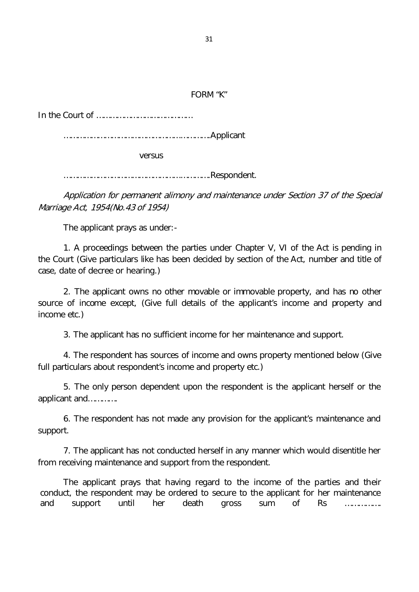#### FORM "K"

In the Court of ……………………………………

……………………………………………………….Applicant

versus

……………………………………………………….Respondent.

Application for permanent alimony and maintenance under Section 37 of the Special Marriage Act, 1954(No.43 of 1954)

The applicant prays as under:-

1. A proceedings between the parties under Chapter V, VI of the Act is pending in the Court (Give particulars like has been decided by section of the Act, number and title of case, date of decree or hearing.)

2. The applicant owns no other movable or immovable property, and has no other source of income except, (Give full details of the applicant's income and property and income etc.)

3. The applicant has no sufficient income for her maintenance and support.

4. The respondent has sources of income and owns property mentioned below (Give full particulars about respondent's income and property etc.)

5. The only person dependent upon the respondent is the applicant herself or the applicant and………….

6. The respondent has not made any provision for the applicant's maintenance and support.

7. The applicant has not conducted herself in any manner which would disentitle her from receiving maintenance and support from the respondent.

The applicant prays that having regard to the income of the parties and their conduct, the respondent may be ordered to secure to the applicant for her maintenance and support until her death gross sum of Rs …………….